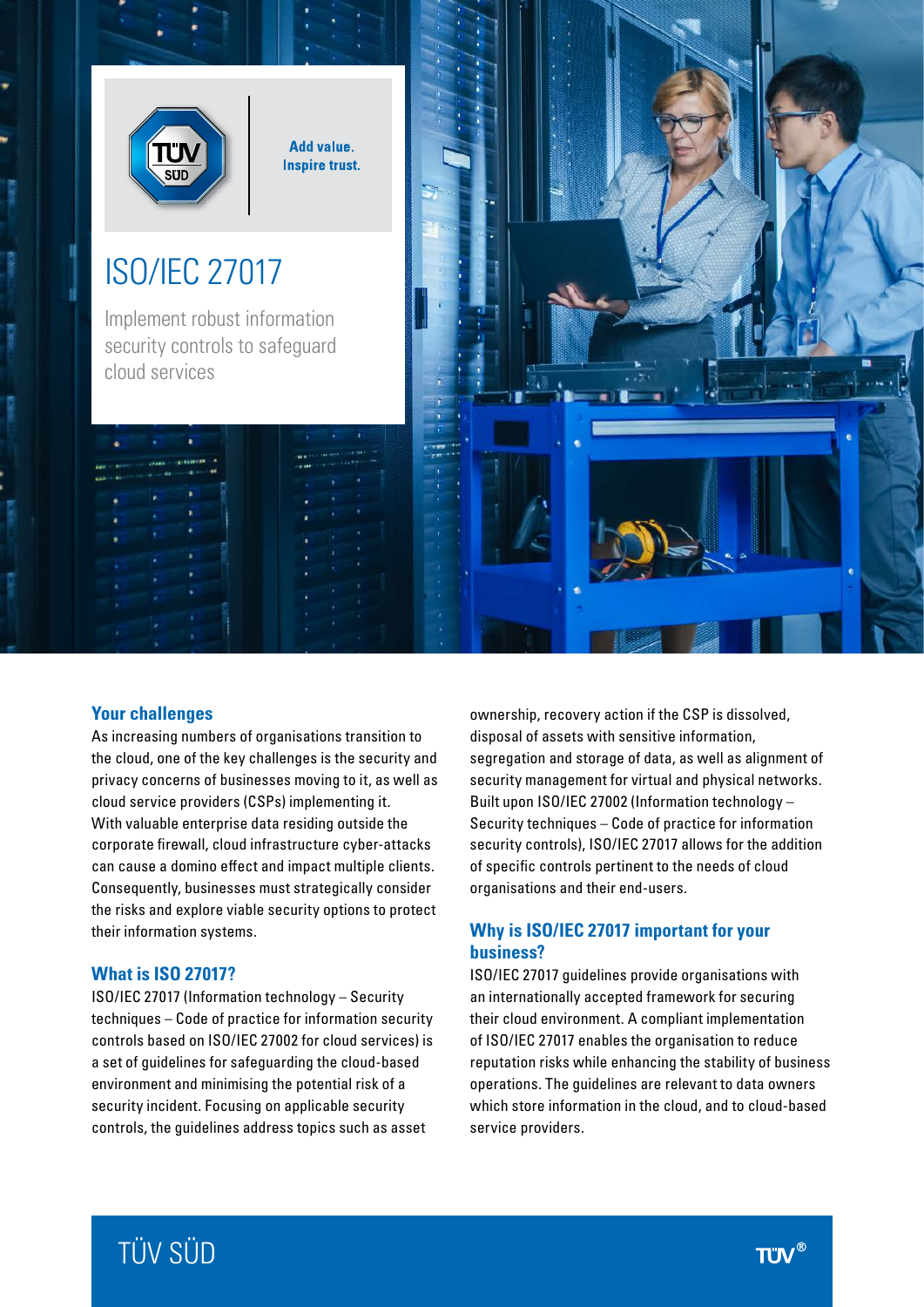

**Add value. Inspire trust.** 

# ISO/IEC 27017

Implement robust information security controls to safeguard cloud services



## **Your challenges**

As increasing numbers of organisations transition to the cloud, one of the key challenges is the security and privacy concerns of businesses moving to it, as well as cloud service providers (CSPs) implementing it. With valuable enterprise data residing outside the corporate firewall, cloud infrastructure cyber-attacks can cause a domino effect and impact multiple clients. Consequently, businesses must strategically consider the risks and explore viable security options to protect their information systems.

#### **What is ISO 27017?**

ISO/IEC 27017 (Information technology – Security techniques – Code of practice for information security controls based on ISO/IEC 27002 for cloud services) is a set of guidelines for safeguarding the cloud-based environment and minimising the potential risk of a security incident. Focusing on applicable security controls, the guidelines address topics such as asset

ownership, recovery action if the CSP is dissolved, disposal of assets with sensitive information, segregation and storage of data, as well as alignment of security management for virtual and physical networks. Built upon ISO/IEC 27002 (Information technology – Security techniques – Code of practice for information security controls), ISO/IEC 27017 allows for the addition of specific controls pertinent to the needs of cloud organisations and their end-users.

## **Why is ISO/IEC 27017 important for your business?**

ISO/IEC 27017 guidelines provide organisations with an internationally accepted framework for securing their cloud environment. A compliant implementation of ISO/IEC 27017 enables the organisation to reduce reputation risks while enhancing the stability of business operations. The guidelines are relevant to data owners which store information in the cloud, and to cloud-based service providers.

# TÜV SÜD